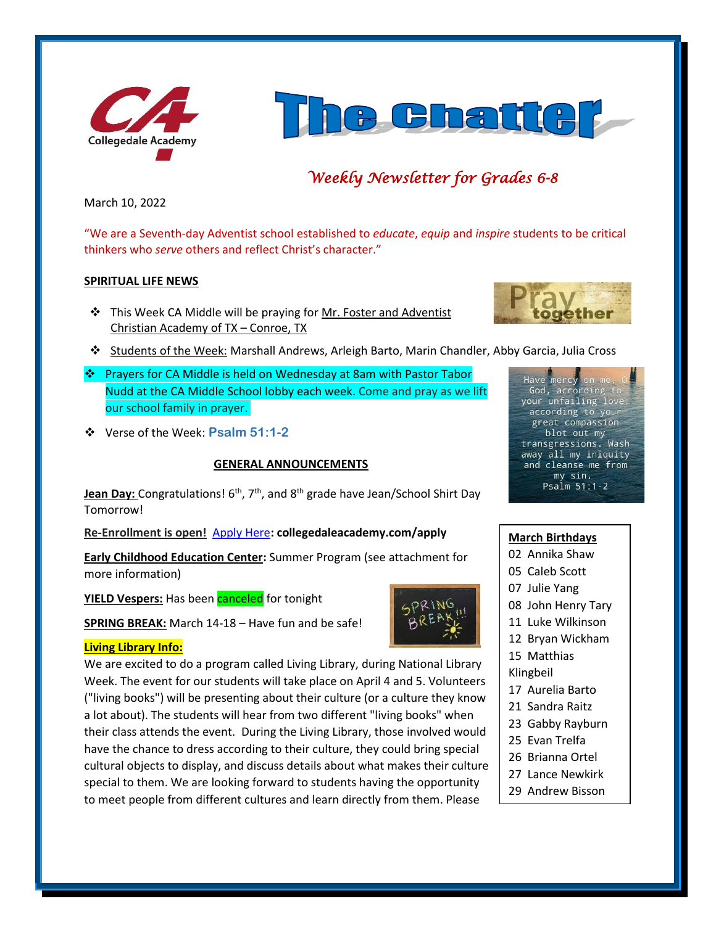



# *Weekly Newsletter for Grades 6-8*

March 10, 2022

"We are a Seventh-day Adventist school established to *educate*, *equip* and *inspire* students to be critical thinkers who *serve* others and reflect Christ's character."

#### **SPIRITUAL LIFE NEWS**

❖ This Week CA Middle will be praying for Mr. Foster and Adventist Christian Academy of TX – Conroe, TX



- ❖ Students of the Week: Marshall Andrews, Arleigh Barto, Marin Chandler, Abby Garcia, Julia Cross
- ❖ Prayers for CA Middle is held on Wednesday at 8am with Pastor Tabor Nudd at the CA Middle School lobby each week. Come and pray as we lift our school family in prayer.
- ❖ Verse of the Week: **Psalm 51:1-2**

#### **GENERAL ANNOUNCEMENTS**

Jean Day: Congratulations! 6<sup>th</sup>, 7<sup>th</sup>, and 8<sup>th</sup> grade have Jean/School Shirt Day Tomorrow!

**Re-Enrollment is open!** [Apply Here](http://collegedaleacademy.com/apply)**: collegedaleacademy.com/apply**

**Early Childhood Education Center:** Summer Program (see attachment for more information)

**YIELD Vespers:** Has been **canceled** for tonight

**SPRING BREAK:** March 14-18 – Have fun and be safe!

#### **Living Library Info:**

We are excited to do a program called Living Library, during National Library Week. The event for our students will take place on April 4 and 5. Volunteers ("living books") will be presenting about their culture (or a culture they know a lot about). The students will hear from two different "living books" when their class attends the event. During the Living Library, those involved would have the chance to dress according to their culture, they could bring special cultural objects to display, and discuss details about what makes their culture special to them. We are looking forward to students having the opportunity to meet people from different cultures and learn directly from them. Please



### **March Birthdays**

- 02 Annika Shaw
- 05 Caleb Scott
- 07 Julie Yang
- 08 John Henry Tary
- 11 Luke Wilkinson
- 12 Bryan Wickham
- 15 Matthias
- Klingbeil
- 17 Aurelia Barto
- 21 Sandra Raitz
- 23 Gabby Rayburn
- 25 Evan Trelfa
- 26 Brianna Ortel
- 27 Lance Newkirk
- 29 Andrew Bisson 30 Hanley Shelton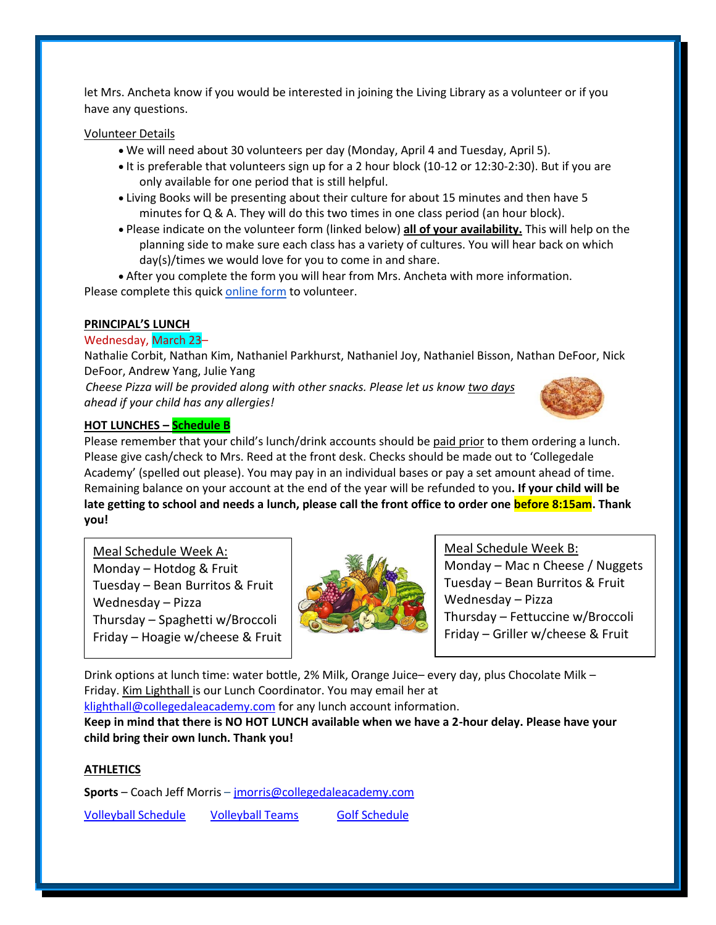let Mrs. Ancheta know if you would be interested in joining the Living Library as a volunteer or if you have any questions.

#### Volunteer Details

- We will need about 30 volunteers per day (Monday, April 4 and Tuesday, April 5).
- It is preferable that volunteers sign up for a 2 hour block (10-12 or 12:30-2:30). But if you are only available for one period that is still helpful.
- Living Books will be presenting about their culture for about 15 minutes and then have 5 minutes for Q & A. They will do this two times in one class period (an hour block).
- Please indicate on the volunteer form (linked below) **all of your availability.** This will help on the planning side to make sure each class has a variety of cultures. You will hear back on which day(s)/times we would love for you to come in and share.

• After you complete the form you will hear from Mrs. Ancheta with more information. Please complete this quick [online form](https://forms.gle/3BzKPM2Pg5oKMCSv6) to volunteer.

#### **PRINCIPAL'S LUNCH**

#### Wednesday, March 23–

Nathalie Corbit, Nathan Kim, Nathaniel Parkhurst, Nathaniel Joy, Nathaniel Bisson, Nathan DeFoor, Nick DeFoor, Andrew Yang, Julie Yang

*Cheese Pizza will be provided along with other snacks. Please let us know two days ahead if your child has any allergies!*



#### **HOT LUNCHES – Schedule B**

Please remember that your child's lunch/drink accounts should be paid prior to them ordering a lunch. Please give cash/check to Mrs. Reed at the front desk. Checks should be made out to 'Collegedale Academy' (spelled out please). You may pay in an individual bases or pay a set amount ahead of time. Remaining balance on your account at the end of the year will be refunded to you**. If your child will be late getting to school and needs a lunch, please call the front office to order one before 8:15am. Thank you!** 

Meal Schedule Week A: Monday – Hotdog  $&$  Fruit Tuesday – Bean Burritos  $&$  Fruit Wednesday – Pizza Thursday – Spaghetti w/Broccoli Friday – Hoagie w/cheese & Fruit



Meal Schedule Week B:

Monday – Mac n Cheese / Nuggets Tuesday – Bean Burritos & Fruit Wednesday – Pizza Thursday – Fettuccine w/Broccoli Friday – Griller w/cheese & Fruit

Drink options at lunch time: water bottle, 2% Milk, Orange Juice– every day, plus Chocolate Milk – Friday. Kim Lighthall is our Lunch Coordinator. You may email her at

[klighthall@collegedaleacademy.com](mailto:klighthall@collegedaleacademy.com) for any lunch account information.

**Keep in mind that there is NO HOT LUNCH available when we have a 2-hour delay. Please have your child bring their own lunch. Thank you!**

#### **ATHLETICS**

**Sports** – Coach Jeff Morris – [jmorris@collegedaleacademy.com](mailto:jmorris@collegedaleacademy.com)

[Volleyball Schedule](https://www.collegedaleacademy.com/wp-content/uploads/2022/02/2022-Volleyball-schedule.pdf) [Volleyball Teams](https://www.collegedaleacademy.com/wp-content/uploads/2022/02/2021-2022-Volleyball-Teams-1.pdf) [Golf Schedule](https://www.collegedaleacademy.com/wp-content/uploads/2022/03/2022-ISC-Golf-Schedule.pdf)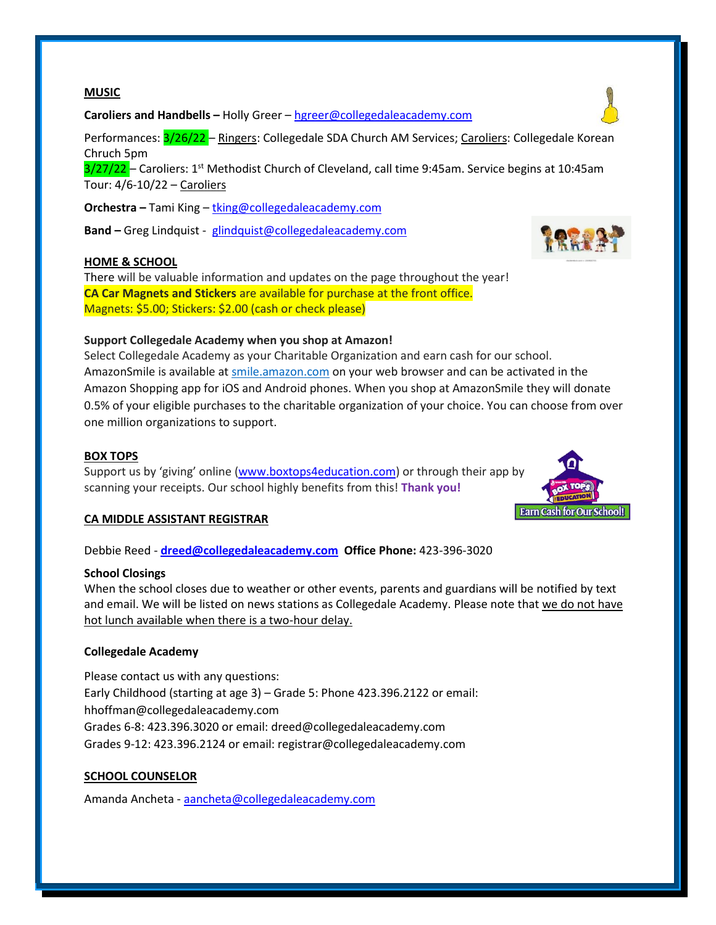#### **MUSIC**

**Caroliers and Handbells –** Holly Greer – [hgreer@collegedaleacademy.com](mailto:hgreer@collegedaleacademy.com)

Performances: 3/26/22 - Ringers: Collegedale SDA Church AM Services; Caroliers: Collegedale Korean Chruch 5pm

 $3/27/22$  – Caroliers: 1<sup>st</sup> Methodist Church of Cleveland, call time 9:45am. Service begins at 10:45am Tour: 4/6-10/22 – Caroliers

**Orchestra –** Tami King – [tking@collegedaleacademy.com](mailto:tking@collegedaleacademy.com)

**Band –** Greg Lindquist - [glindquist@collegedaleacademy.com](mailto:glindquist@collegedaleacademy.com)

#### **HOME & SCHOOL**

There will be valuable information and updates on the page throughout the year! **CA Car Magnets and Stickers** are available for purchase at the front office. Magnets: \$5.00; Stickers: \$2.00 (cash or check please)

#### **Support Collegedale Academy when you shop at Amazon!**

Select Collegedale Academy as your Charitable Organization and earn cash for our school. AmazonSmile is available at [smile.amazon.com](https://smile.amazon.com/ref=smi_se_saas_lsmi_smi) on your web browser and can be activated in the Amazon Shopping app for iOS and Android phones. When you shop at AmazonSmile they will donate 0.5% of your eligible purchases to the charitable organization of your choice. You can choose from over one million organizations to support.

#### **BOX TOPS**

Support us by 'giving' online ([www.boxtops4education.com\)](http://www.boxtops4education.com/) or through their app by scanning your receipts. Our school highly benefits from this! **Thank you!**

#### **CA MIDDLE ASSISTANT REGISTRAR**

Debbie Reed - **[dreed@collegedaleacademy.com](mailto:dreed@collegedaleacademy.com) Office Phone:** 423-396-3020

#### **School Closings**

When the school closes due to weather or other events, parents and guardians will be notified by text and email. We will be listed on news stations as Collegedale Academy. Please note that we do not have hot lunch available when there is a two-hour delay.

#### **Collegedale Academy**

Please contact us with any questions: Early Childhood (starting at age 3) – Grade 5: Phone 423.396.2122 or email: hhoffman@collegedaleacademy.com Grades 6-8: 423.396.3020 or email: dreed@collegedaleacademy.com Grades 9-12: 423.396.2124 or email: registrar@collegedaleacademy.com

#### **SCHOOL COUNSELOR**

Amanda Ancheta - [aancheta@collegedaleacademy.com](mailto:aancheta@collegedaleacademy.com)